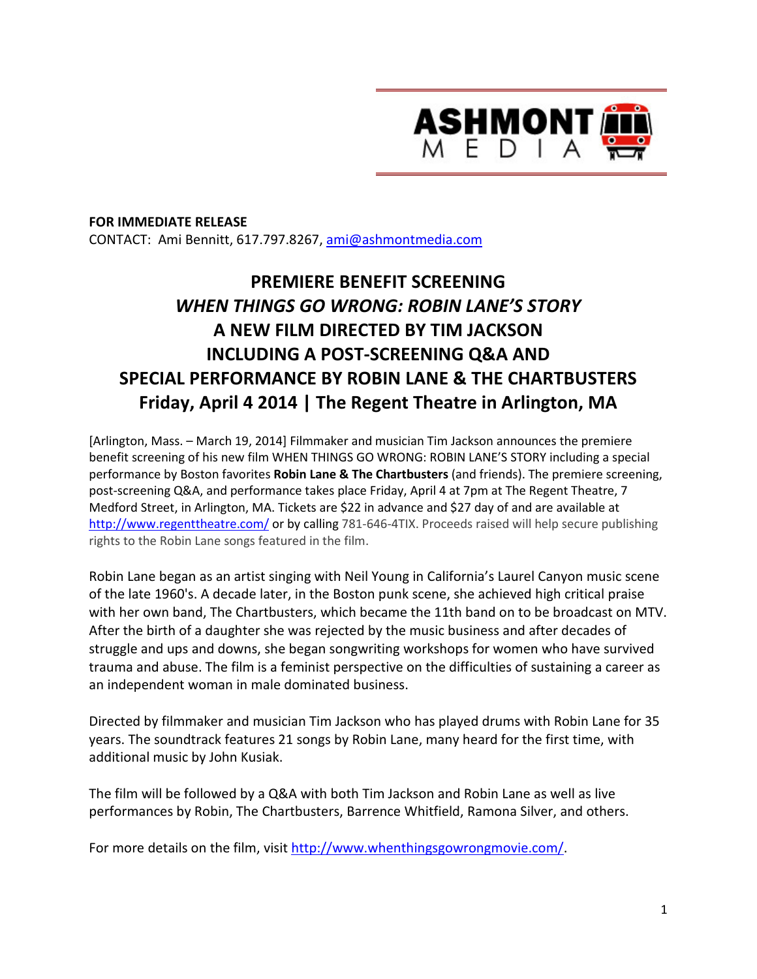

## **FOR IMMEDIATE RELEASE** CONTACT: Ami Bennitt, 617.797.8267, ami@ashmontmedia.com

# **PREMIERE BENEFIT SCREENING**  *WHEN THINGS GO WRONG: ROBIN LANE'S STORY*  **A NEW FILM DIRECTED BY TIM JACKSON INCLUDING A POST-SCREENING Q&A AND SPECIAL PERFORMANCE BY ROBIN LANE & THE CHARTBUSTERS Friday, April 4 2014 | The Regent Theatre in Arlington, MA**

[Arlington, Mass. – March 19, 2014] Filmmaker and musician Tim Jackson announces the premiere benefit screening of his new film WHEN THINGS GO WRONG: ROBIN LANE'S STORY including a special performance by Boston favorites **Robin Lane & The Chartbusters** (and friends). The premiere screening, post-screening Q&A, and performance takes place Friday, April 4 at 7pm at The Regent Theatre, 7 Medford Street, in Arlington, MA. Tickets are \$22 in advance and \$27 day of and are available at http://www.regenttheatre.com/ or by calling 781-646-4TIX. Proceeds raised will help secure publishing rights to the Robin Lane songs featured in the film.

Robin Lane began as an artist singing with Neil Young in California's Laurel Canyon music scene of the late 1960's. A decade later, in the Boston punk scene, she achieved high critical praise with her own band, The Chartbusters, which became the 11th band on to be broadcast on MTV. After the birth of a daughter she was rejected by the music business and after decades of struggle and ups and downs, she began songwriting workshops for women who have survived trauma and abuse. The film is a feminist perspective on the difficulties of sustaining a career as an independent woman in male dominated business.

Directed by filmmaker and musician Tim Jackson who has played drums with Robin Lane for 35 years. The soundtrack features 21 songs by Robin Lane, many heard for the first time, with additional music by John Kusiak.

The film will be followed by a Q&A with both Tim Jackson and Robin Lane as well as live performances by Robin, The Chartbusters, Barrence Whitfield, Ramona Silver, and others.

For more details on the film, visit http://www.whenthingsgowrongmovie.com/.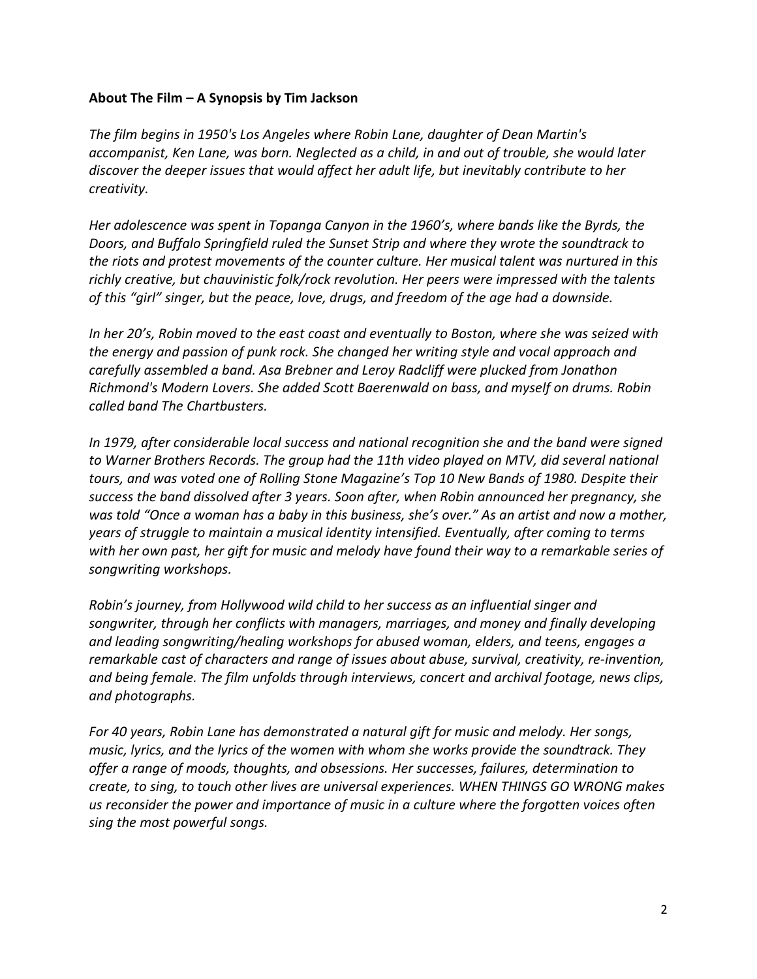### **About The Film – A Synopsis by Tim Jackson**

*The film begins in 1950's Los Angeles where Robin Lane, daughter of Dean Martin's accompanist, Ken Lane, was born. Neglected as a child, in and out of trouble, she would later discover the deeper issues that would affect her adult life, but inevitably contribute to her creativity.* 

*Her adolescence was spent in Topanga Canyon in the 1960's, where bands like the Byrds, the Doors, and Buffalo Springfield ruled the Sunset Strip and where they wrote the soundtrack to the riots and protest movements of the counter culture. Her musical talent was nurtured in this richly creative, but chauvinistic folk/rock revolution. Her peers were impressed with the talents of this "girl" singer, but the peace, love, drugs, and freedom of the age had a downside.* 

*In her 20's, Robin moved to the east coast and eventually to Boston, where she was seized with the energy and passion of punk rock. She changed her writing style and vocal approach and carefully assembled a band. Asa Brebner and Leroy Radcliff were plucked from Jonathon Richmond's Modern Lovers. She added Scott Baerenwald on bass, and myself on drums. Robin called band The Chartbusters.* 

*In 1979, after considerable local success and national recognition she and the band were signed to Warner Brothers Records. The group had the 11th video played on MTV, did several national tours, and was voted one of Rolling Stone Magazine's Top 10 New Bands of 1980. Despite their success the band dissolved after 3 years. Soon after, when Robin announced her pregnancy, she was told "Once a woman has a baby in this business, she's over." As an artist and now a mother, years of struggle to maintain a musical identity intensified. Eventually, after coming to terms with her own past, her gift for music and melody have found their way to a remarkable series of songwriting workshops.* 

*Robin's journey, from Hollywood wild child to her success as an influential singer and songwriter, through her conflicts with managers, marriages, and money and finally developing and leading songwriting/healing workshops for abused woman, elders, and teens, engages a remarkable cast of characters and range of issues about abuse, survival, creativity, re-invention, and being female. The film unfolds through interviews, concert and archival footage, news clips, and photographs.* 

*For 40 years, Robin Lane has demonstrated a natural gift for music and melody. Her songs, music, lyrics, and the lyrics of the women with whom she works provide the soundtrack. They offer a range of moods, thoughts, and obsessions. Her successes, failures, determination to create, to sing, to touch other lives are universal experiences. WHEN THINGS GO WRONG makes us reconsider the power and importance of music in a culture where the forgotten voices often sing the most powerful songs.*